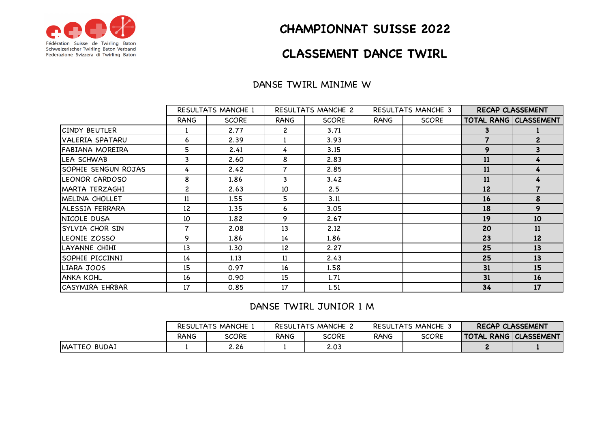

## **CHAMPIONNAT SUISSE 2022**

# **CLASSEMENT DANCE TWIRL**

#### DANSE TWIRL MINIME W

|                        | RESULTATS MANCHE 1 |              | RESULTATS MANCHE 2 |              | RESULTATS MANCHE 3 |              | RECAP CLASSEMENT |                                |
|------------------------|--------------------|--------------|--------------------|--------------|--------------------|--------------|------------------|--------------------------------|
|                        | <b>RANG</b>        | <b>SCORE</b> | <b>RANG</b>        | <b>SCORE</b> | <b>RANG</b>        | <b>SCORE</b> |                  | <b>TOTAL RANG   CLASSEMENT</b> |
| <b>CINDY BEUTLER</b>   |                    | 2.77         | $\mathbf{2}$       | 3.71         |                    |              | 3                |                                |
| VALERIA SPATARU        | 6                  | 2.39         |                    | 3.93         |                    |              |                  | $\mathbf{2}$                   |
| FABIANA MOREIRA        | 5                  | 2.41         | 4                  | 3.15         |                    |              | 9                | 3                              |
| LEA SCHWAB             | 3                  | 2.60         | 8                  | 2.83         |                    |              | 11               |                                |
| SOPHIE SENGUN ROJAS    | 4                  | 2.42         | 7                  | 2.85         |                    |              | 11               | 4                              |
| LEONOR CARDOSO         | 8                  | 1.86         | 3                  | 3.42         |                    |              | 11               | 4                              |
| <b>MARTA TERZAGHI</b>  | $\overline{c}$     | 2.63         | 10                 | 2.5          |                    |              | 12               |                                |
| MELINA CHOLLET         | 11                 | 1.55         | 5                  | 3.11         |                    |              | 16               | 8                              |
| ALESSIA FERRARA        | 12                 | 1.35         | 6                  | 3.05         |                    |              | 18               | 9                              |
| NICOLE DUSA            | 10                 | 1.82         | 9                  | 2.67         |                    |              | 19               | 10                             |
| <b>SYLVIA CHOR SIN</b> | 7                  | 2.08         | 13                 | 2.12         |                    |              | 20               | 11                             |
| LEONIE ZOSSO           | 9                  | 1.86         | 14                 | 1.86         |                    |              | 23               | 12                             |
| LAYANNE CHIHI          | 13                 | 1.30         | 12                 | 2.27         |                    |              | 25               | 13                             |
| SOPHIE PICCINNI        | 14                 | 1.13         | 11                 | 2.43         |                    |              | 25               | 13                             |
| LIARA JOOS             | 15                 | 0.97         | 16                 | 1.58         |                    |              | 31               | 15                             |
| <b>ANKA KOHL</b>       | 16                 | 0.90         | 15                 | 1.71         |                    |              | 31               | 16                             |
| ICASYMIRA EHRBAR       | 17                 | 0.85         | 17                 | 1.51         |                    |              | 34               | 17                             |

### DANSE TWIRL JUNIOR 1 M

|               | RESULTATS MANCHE |              | RESULTATS MANCHE 2 |              | <b>RESULTATS MANCHE 3</b> |       | <b>RECAP CLASSEMENT</b>        |  |
|---------------|------------------|--------------|--------------------|--------------|---------------------------|-------|--------------------------------|--|
|               | <b>RANG</b>      | <b>SCORE</b> | RANG               | <b>SCORE</b> | <b>RANG</b>               | SCORE | <b>TOTAL RANG   CLASSEMENT</b> |  |
| IMATTEO BUDAI |                  | 2.26         |                    | 2.03         |                           |       |                                |  |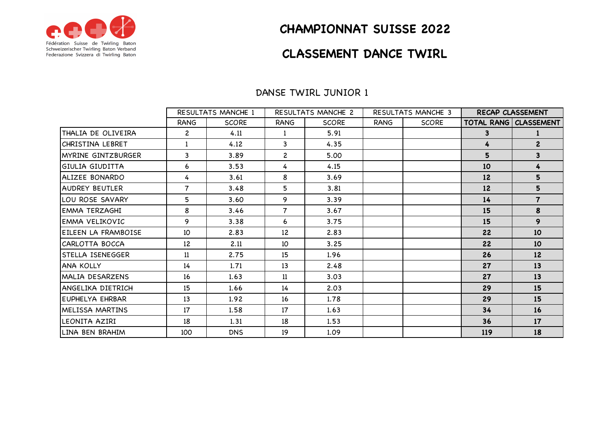

## **CHAMPIONNAT SUISSE 2022**

## **CLASSEMENT DANCE TWIRL**

#### DANSE TWIRL JUNIOR 1

|                        | <b>RESULTATS MANCHE 1</b> |              | <b>RESULTATS MANCHE 2</b> |              | <b>RESULTATS MANCHE 3</b> |              | <b>RECAP CLASSEMENT</b> |                                |
|------------------------|---------------------------|--------------|---------------------------|--------------|---------------------------|--------------|-------------------------|--------------------------------|
|                        | <b>RANG</b>               | <b>SCORE</b> | <b>RANG</b>               | <b>SCORE</b> | <b>RANG</b>               | <b>SCORE</b> |                         | <b>TOTAL RANG   CLASSEMENT</b> |
| THALIA DE OLIVEIRA     | $\overline{c}$            | 4.11         |                           | 5.91         |                           |              | 3                       |                                |
| CHRISTINA LEBRET       | $\mathbf{1}$              | 4.12         | 3                         | 4.35         |                           |              | 4                       | $\overline{c}$                 |
| IMYRINE GINTZBURGER    | 3                         | 3.89         | $\overline{c}$            | 5.00         |                           |              | 5                       | 3                              |
| <b>GIULIA GIUDITTA</b> | 6                         | 3.53         | 4                         | 4.15         |                           |              | 10                      | 4                              |
| ALIZEE BONARDO         | 4                         | 3.61         | 8                         | 3.69         |                           |              | 12                      | 5                              |
| IAUDREY BEUTLER        | $\overline{7}$            | 3.48         | 5                         | 3.81         |                           |              | 12                      | 5                              |
| LOU ROSE SAVARY        | 5                         | 3.60         | 9                         | 3.39         |                           |              | 14                      | $\overline{\mathbf{7}}$        |
| <b>EMMA TERZAGHI</b>   | 8                         | 3.46         | $\overline{7}$            | 3.67         |                           |              | 15                      | 8                              |
| <b>EMMA VELIKOVIC</b>  | 9                         | 3.38         | 6                         | 3.75         |                           |              | 15                      | 9                              |
| EILEEN LA FRAMBOISE    | 10                        | 2.83         | 12                        | 2.83         |                           |              | 22                      | 10 <sup>°</sup>                |
| CARLOTTA BOCCA         | 12                        | 2.11         | 10                        | 3.25         |                           |              | 22                      | 10 <sup>°</sup>                |
| ISTELLA ISENEGGER      | 11                        | 2.75         | 15                        | 1.96         |                           |              | 26                      | 12                             |
| <b>ANA KOLLY</b>       | 14                        | 1.71         | 13                        | 2.48         |                           |              | 27                      | 13                             |
| MALIA DESARZENS        | 16                        | 1.63         | 11                        | 3.03         |                           |              | 27                      | 13                             |
| langelika dietrich     | 15                        | 1.66         | 14                        | 2.03         |                           |              | 29                      | 15                             |
| IEUPHELYA EHRBAR       | 13                        | 1.92         | 16                        | 1.78         |                           |              | 29                      | 15                             |
| MELISSA MARTINS        | 17                        | 1.58         | 17                        | 1.63         |                           |              | 34                      | 16                             |
| LEONITA AZIRI          | 18                        | 1.31         | 18                        | 1.53         |                           |              | 36                      | 17                             |
| LINA BEN BRAHIM        | 100                       | <b>DNS</b>   | 19                        | 1.09         |                           |              | 119                     | 18                             |